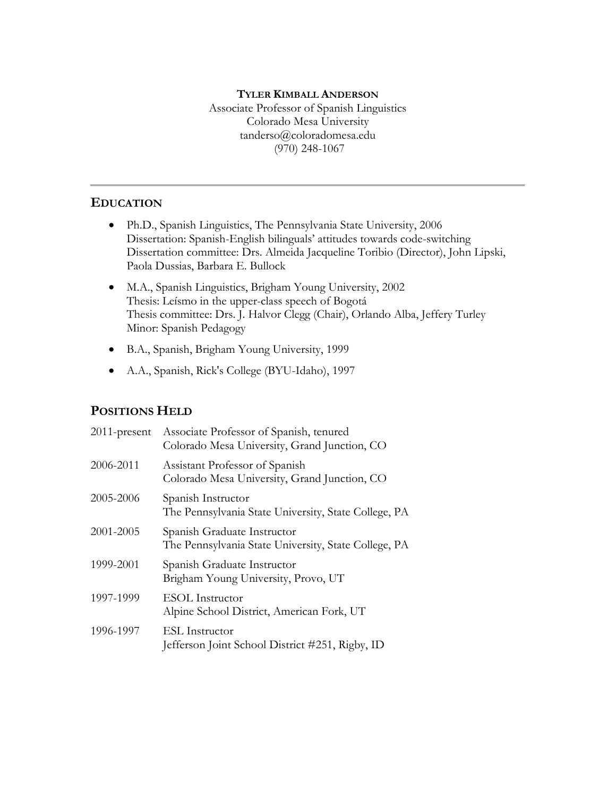### **TYLER KIMBALL ANDERSON**

Associate Professor of Spanish Linguistics Colorado Mesa University tanderso@coloradomesa.edu (970) 248-1067

# **EDUCATION**

- Ph.D., Spanish Linguistics, The Pennsylvania State University, 2006 Dissertation: Spanish-English bilinguals' attitudes towards code-switching Dissertation committee: Drs. Almeida Jacqueline Toribio (Director), John Lipski, Paola Dussias, Barbara E. Bullock
- M.A., Spanish Linguistics, Brigham Young University, 2002 Thesis: Leísmo in the upper-class speech of Bogotá Thesis committee: Drs. J. Halvor Clegg (Chair), Orlando Alba, Jeffery Turley Minor: Spanish Pedagogy
- B.A., Spanish, Brigham Young University, 1999
- A.A., Spanish, Rick's College (BYU-Idaho), 1997

# **POSITIONS HELD**

| $2011$ -present | Associate Professor of Spanish, tenured<br>Colorado Mesa University, Grand Junction, CO |
|-----------------|-----------------------------------------------------------------------------------------|
| 2006-2011       | Assistant Professor of Spanish<br>Colorado Mesa University, Grand Junction, CO          |
| 2005-2006       | Spanish Instructor<br>The Pennsylvania State University, State College, PA              |
| 2001-2005       | Spanish Graduate Instructor<br>The Pennsylvania State University, State College, PA     |
| 1999-2001       | Spanish Graduate Instructor<br>Brigham Young University, Provo, UT                      |
| 1997-1999       | <b>ESOL</b> Instructor<br>Alpine School District, American Fork, UT                     |
| 1996-1997       | <b>ESL</b> Instructor<br>Jefferson Joint School District #251, Rigby, ID                |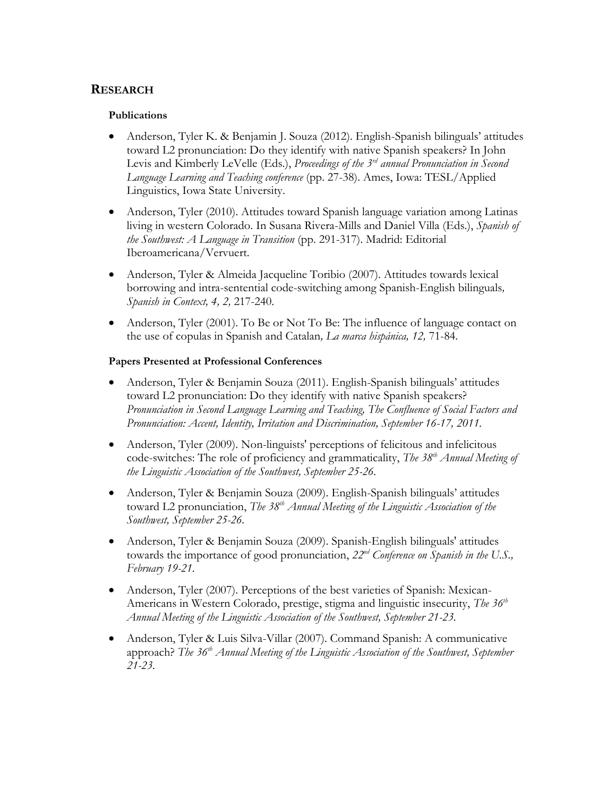# **RESEARCH**

#### **Publications**

- Anderson, Tyler K. & Benjamin J. Souza (2012). English-Spanish bilinguals' attitudes toward L2 pronunciation: Do they identify with native Spanish speakers? In John Levis and Kimberly LeVelle (Eds.), *Proceedings of the 3rd annual Pronunciation in Second Language Learning and Teaching conference* (pp. 27-38). Ames, Iowa: TESL/Applied Linguistics, Iowa State University.
- Anderson, Tyler (2010). Attitudes toward Spanish language variation among Latinas living in western Colorado. In Susana Rivera-Mills and Daniel Villa (Eds.), *Spanish of the Southwest: A Language in Transition* (pp. 291-317). Madrid: Editorial Iberoamericana/Vervuert.
- Anderson, Tyler & Almeida Jacqueline Toribio (2007). Attitudes towards lexical borrowing and intra-sentential code-switching among Spanish-English bilinguals*, Spanish in Context, 4, 2,* 217-240.
- Anderson, Tyler (2001). To Be or Not To Be: The influence of language contact on the use of copulas in Spanish and Catalan*, La marca hispánica, 12,* 71-84.

#### **Papers Presented at Professional Conferences**

- Anderson, Tyler & Benjamin Souza (2011). English-Spanish bilinguals' attitudes toward L2 pronunciation: Do they identify with native Spanish speakers? *Pronunciation in Second Language Learning and Teaching, The Confluence of Social Factors and Pronunciation: Accent, Identity, Irritation and Discrimination, September 16-17, 2011.*
- Anderson, Tyler (2009). Non-linguists' perceptions of felicitous and infelicitous code-switches: The role of proficiency and grammaticality, *The 38th Annual Meeting of the Linguistic Association of the Southwest, September 25-26.*
- Anderson, Tyler & Benjamin Souza (2009). English-Spanish bilinguals' attitudes toward L2 pronunciation, *The 38th Annual Meeting of the Linguistic Association of the Southwest, September 25-26.*
- Anderson, Tyler & Benjamin Souza (2009). Spanish-English bilinguals' attitudes towards the importance of good pronunciation,  $22^{nd}$  *Conference on Spanish in the U.S.*, *February 19-21.*
- Anderson, Tyler (2007). Perceptions of the best varieties of Spanish: Mexican-Americans in Western Colorado, prestige, stigma and linguistic insecurity, *The 36th Annual Meeting of the Linguistic Association of the Southwest, September 21-23.*
- Anderson, Tyler & Luis Silva-Villar (2007). Command Spanish: A communicative approach? *The 36th Annual Meeting of the Linguistic Association of the Southwest, September 21-23.*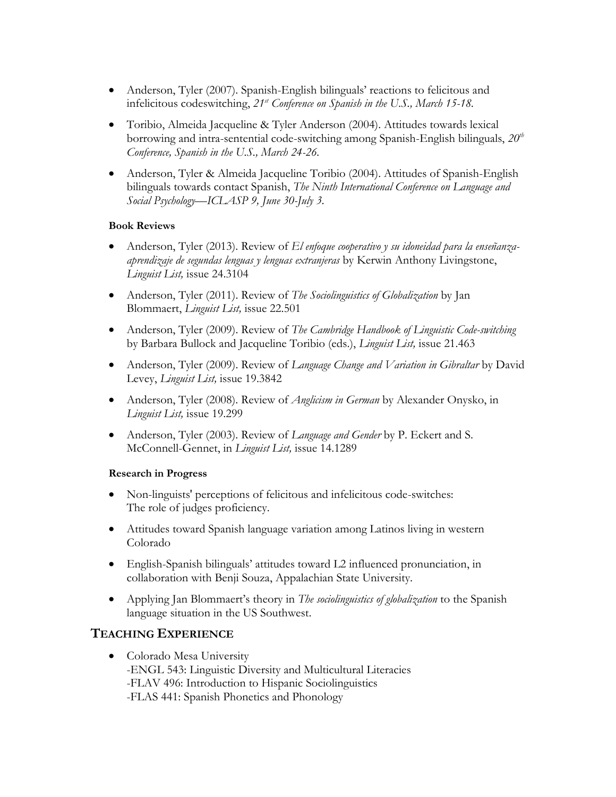- Anderson, Tyler (2007). Spanish-English bilinguals' reactions to felicitous and infelicitous codeswitching, *21st Conference on Spanish in the U.S., March 15-18.*
- Toribio, Almeida Jacqueline & Tyler Anderson (2004). Attitudes towards lexical borrowing and intra-sentential code-switching among Spanish-English bilinguals, *20th Conference, Spanish in the U.S., March 24-26.*
- Anderson, Tyler & Almeida Jacqueline Toribio (2004). Attitudes of Spanish-English bilinguals towards contact Spanish, *The Ninth International Conference on Language and Social Psychology—ICLASP 9, June 30-July 3.*

### **Book Reviews**

- Anderson, Tyler (2013). Review of *El enfoque cooperativo y su idoneidad para la enseñanzaaprendizaje de segundas lenguas y lenguas extranjeras* by Kerwin Anthony Livingstone, *Linguist List,* issue 24.3104
- Anderson, Tyler (2011). Review of *The Sociolinguistics of Globalization* by Jan Blommaert, *Linguist List,* issue 22.501
- Anderson, Tyler (2009). Review of *The Cambridge Handbook of Linguistic Code-switching* by Barbara Bullock and Jacqueline Toribio (eds.), *Linguist List,* issue 21.463
- Anderson, Tyler (2009). Review of *Language Change and Variation in Gibraltar* by David Levey, *Linguist List,* issue 19.3842
- Anderson, Tyler (2008). Review of *Anglicism in German* by Alexander Onysko, in *Linguist List,* issue 19.299
- Anderson, Tyler (2003). Review of *Language and Gender* by P. Eckert and S. McConnell-Gennet, in *Linguist List,* issue 14.1289

#### **Research in Progress**

- Non-linguists' perceptions of felicitous and infelicitous code-switches: The role of judges proficiency.
- Attitudes toward Spanish language variation among Latinos living in western Colorado
- English-Spanish bilinguals' attitudes toward L2 influenced pronunciation, in collaboration with Benji Souza, Appalachian State University.
- Applying Jan Blommaert's theory in *The sociolinguistics of globalization* to the Spanish language situation in the US Southwest.

### **TEACHING EXPERIENCE**

• Colorado Mesa University -ENGL 543: Linguistic Diversity and Multicultural Literacies -FLAV 496: Introduction to Hispanic Sociolinguistics -FLAS 441: Spanish Phonetics and Phonology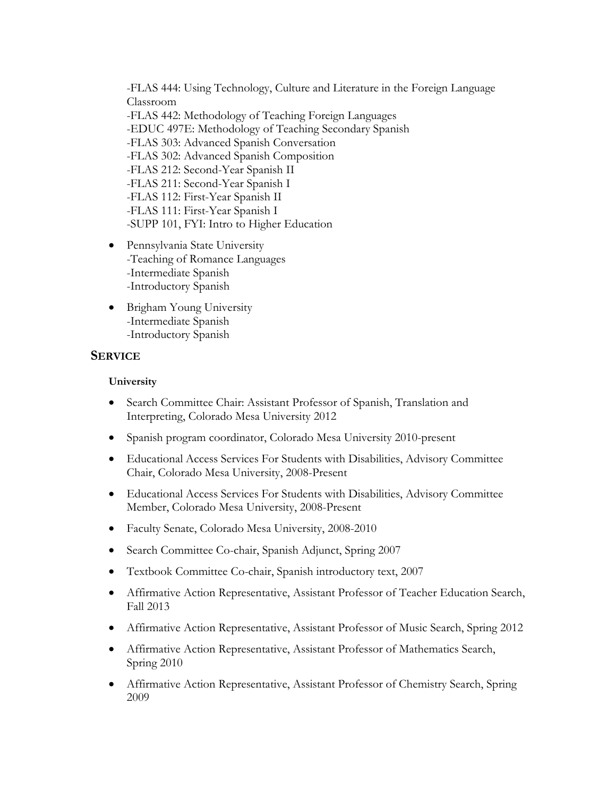-FLAS 444: Using Technology, Culture and Literature in the Foreign Language Classroom -FLAS 442: Methodology of Teaching Foreign Languages -EDUC 497E: Methodology of Teaching Secondary Spanish -FLAS 303: Advanced Spanish Conversation -FLAS 302: Advanced Spanish Composition -FLAS 212: Second-Year Spanish II -FLAS 211: Second-Year Spanish I -FLAS 112: First-Year Spanish II -FLAS 111: First-Year Spanish I -SUPP 101, FYI: Intro to Higher Education

- Pennsylvania State University -Teaching of Romance Languages -Intermediate Spanish -Introductory Spanish
- Brigham Young University -Intermediate Spanish -Introductory Spanish

# **SERVICE**

#### **University**

- Search Committee Chair: Assistant Professor of Spanish, Translation and Interpreting, Colorado Mesa University 2012
- Spanish program coordinator, Colorado Mesa University 2010-present
- Educational Access Services For Students with Disabilities, Advisory Committee Chair, Colorado Mesa University, 2008-Present
- Educational Access Services For Students with Disabilities, Advisory Committee Member, Colorado Mesa University, 2008-Present
- Faculty Senate, Colorado Mesa University, 2008-2010
- Search Committee Co-chair, Spanish Adjunct, Spring 2007
- Textbook Committee Co-chair, Spanish introductory text, 2007
- Affirmative Action Representative, Assistant Professor of Teacher Education Search, Fall 2013
- Affirmative Action Representative, Assistant Professor of Music Search, Spring 2012
- Affirmative Action Representative, Assistant Professor of Mathematics Search, Spring 2010
- Affirmative Action Representative, Assistant Professor of Chemistry Search, Spring 2009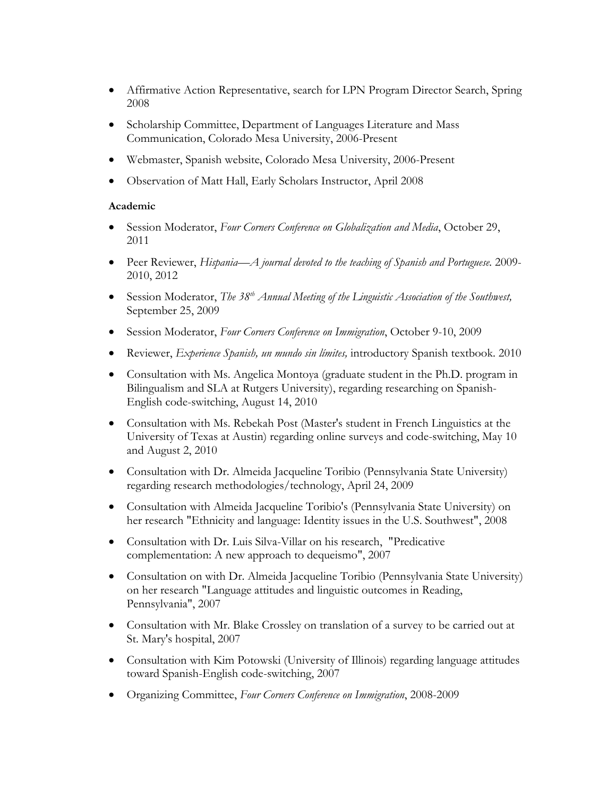- Affirmative Action Representative, search for LPN Program Director Search, Spring 2008
- Scholarship Committee, Department of Languages Literature and Mass Communication, Colorado Mesa University, 2006-Present
- Webmaster, Spanish website, Colorado Mesa University, 2006-Present
- Observation of Matt Hall, Early Scholars Instructor, April 2008

### **Academic**

- Session Moderator, *Four Corners Conference on Globalization and Media*, October 29, 2011
- Peer Reviewer, *Hispania—A journal devoted to the teaching of Spanish and Portuguese.* 2009- 2010, 2012
- Session Moderator, *The 38th Annual Meeting of the Linguistic Association of the Southwest,*  September 25, 2009
- Session Moderator, *Four Corners Conference on Immigration*, October 9-10, 2009
- Reviewer, *Experience Spanish, un mundo sin límites,* introductory Spanish textbook. 2010
- Consultation with Ms. Angelica Montoya (graduate student in the Ph.D. program in Bilingualism and SLA at Rutgers University), regarding researching on Spanish-English code-switching, August 14, 2010
- Consultation with Ms. Rebekah Post (Master's student in French Linguistics at the University of Texas at Austin) regarding online surveys and code-switching, May 10 and August 2, 2010
- Consultation with Dr. Almeida Jacqueline Toribio (Pennsylvania State University) regarding research methodologies/technology, April 24, 2009
- Consultation with Almeida Jacqueline Toribio's (Pennsylvania State University) on her research "Ethnicity and language: Identity issues in the U.S. Southwest", 2008
- Consultation with Dr. Luis Silva-Villar on his research, "Predicative complementation: A new approach to dequeismo", 2007
- Consultation on with Dr. Almeida Jacqueline Toribio (Pennsylvania State University) on her research "Language attitudes and linguistic outcomes in Reading, Pennsylvania", 2007
- Consultation with Mr. Blake Crossley on translation of a survey to be carried out at St. Mary's hospital, 2007
- Consultation with Kim Potowski (University of Illinois) regarding language attitudes toward Spanish-English code-switching, 2007
- Organizing Committee, *Four Corners Conference on Immigration*, 2008-2009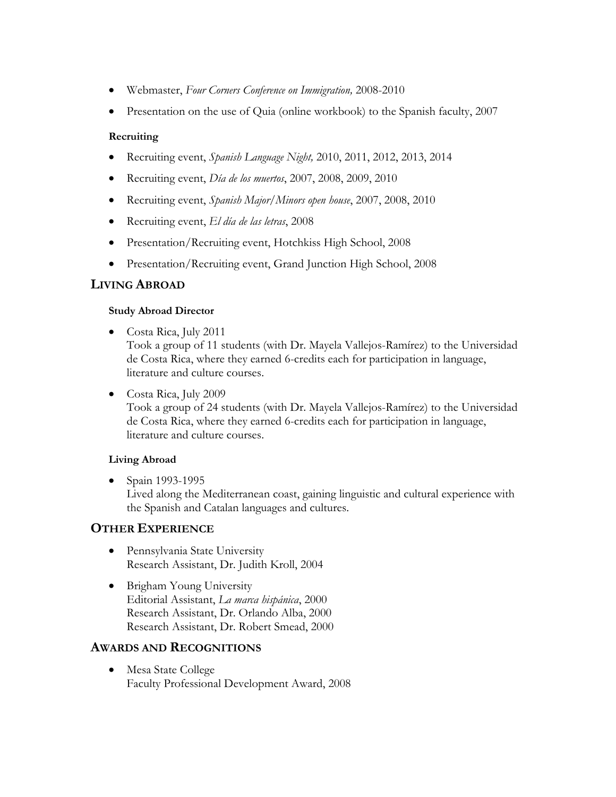- Webmaster, *Four Corners Conference on Immigration,* 2008-2010
- Presentation on the use of Quia (online workbook) to the Spanish faculty, 2007

#### **Recruiting**

- Recruiting event, *Spanish Language Night,* 2010, 2011, 2012, 2013, 2014
- Recruiting event, *Día de los muertos*, 2007, 2008, 2009, 2010
- Recruiting event, *Spanish Major/Minors open house*, 2007, 2008, 2010
- Recruiting event, *El día de las letras*, 2008
- Presentation/Recruiting event, Hotchkiss High School, 2008
- Presentation/Recruiting event, Grand Junction High School, 2008

# **LIVING ABROAD**

#### **Study Abroad Director**

- Costa Rica, July 2011 Took a group of 11 students (with Dr. Mayela Vallejos-Ramírez) to the Universidad de Costa Rica, where they earned 6-credits each for participation in language, literature and culture courses.
- Costa Rica, July 2009

Took a group of 24 students (with Dr. Mayela Vallejos-Ramírez) to the Universidad de Costa Rica, where they earned 6-credits each for participation in language, literature and culture courses.

#### **Living Abroad**

• Spain 1993-1995 Lived along the Mediterranean coast, gaining linguistic and cultural experience with the Spanish and Catalan languages and cultures.

### **OTHER EXPERIENCE**

- Pennsylvania State University Research Assistant, Dr. Judith Kroll, 2004
- Brigham Young University Editorial Assistant, *La marca hispánica*, 2000 Research Assistant, Dr. Orlando Alba, 2000 Research Assistant, Dr. Robert Smead, 2000

# **AWARDS AND RECOGNITIONS**

 Mesa State College Faculty Professional Development Award, 2008